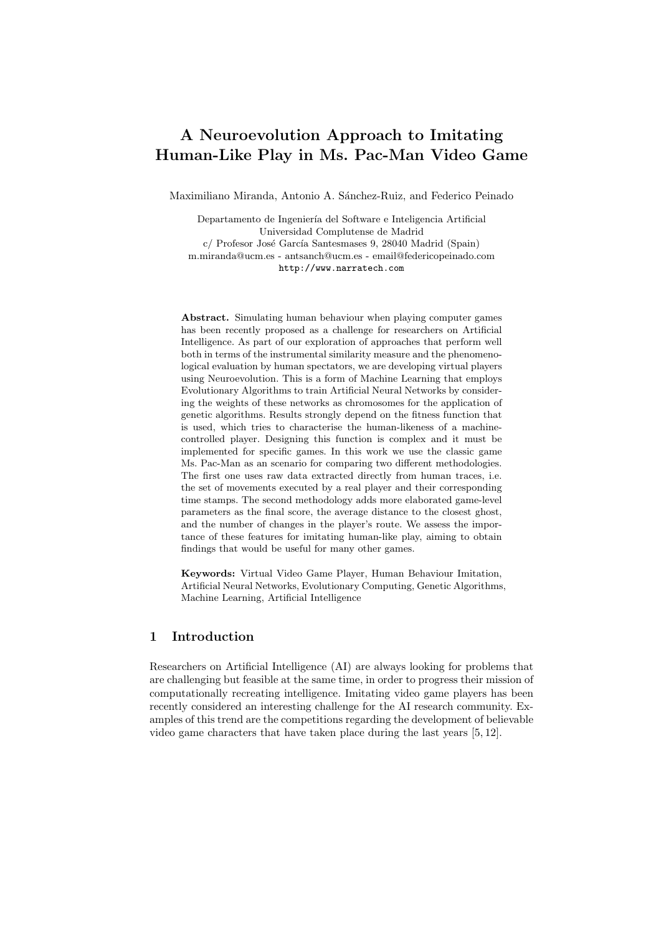# A Neuroevolution Approach to Imitating Human-Like Play in Ms. Pac-Man Video Game

Maximiliano Miranda, Antonio A. Sánchez-Ruiz, and Federico Peinado

Departamento de Ingeniería del Software e Inteligencia Artificial Universidad Complutense de Madrid c/ Profesor José García Santesmases 9, 28040 Madrid (Spain) m.miranda@ucm.es - antsanch@ucm.es - email@federicopeinado.com http://www.narratech.com

Abstract. Simulating human behaviour when playing computer games has been recently proposed as a challenge for researchers on Artificial Intelligence. As part of our exploration of approaches that perform well both in terms of the instrumental similarity measure and the phenomenological evaluation by human spectators, we are developing virtual players using Neuroevolution. This is a form of Machine Learning that employs Evolutionary Algorithms to train Artificial Neural Networks by considering the weights of these networks as chromosomes for the application of genetic algorithms. Results strongly depend on the fitness function that is used, which tries to characterise the human-likeness of a machinecontrolled player. Designing this function is complex and it must be implemented for specific games. In this work we use the classic game Ms. Pac-Man as an scenario for comparing two different methodologies. The first one uses raw data extracted directly from human traces, i.e. the set of movements executed by a real player and their corresponding time stamps. The second methodology adds more elaborated game-level parameters as the final score, the average distance to the closest ghost, and the number of changes in the player's route. We assess the importance of these features for imitating human-like play, aiming to obtain findings that would be useful for many other games.

Keywords: Virtual Video Game Player, Human Behaviour Imitation, Artificial Neural Networks, Evolutionary Computing, Genetic Algorithms, Machine Learning, Artificial Intelligence

## 1 Introduction

Researchers on Artificial Intelligence (AI) are always looking for problems that are challenging but feasible at the same time, in order to progress their mission of computationally recreating intelligence. Imitating video game players has been recently considered an interesting challenge for the AI research community. Examples of this trend are the competitions regarding the development of believable video game characters that have taken place during the last years [5, 12].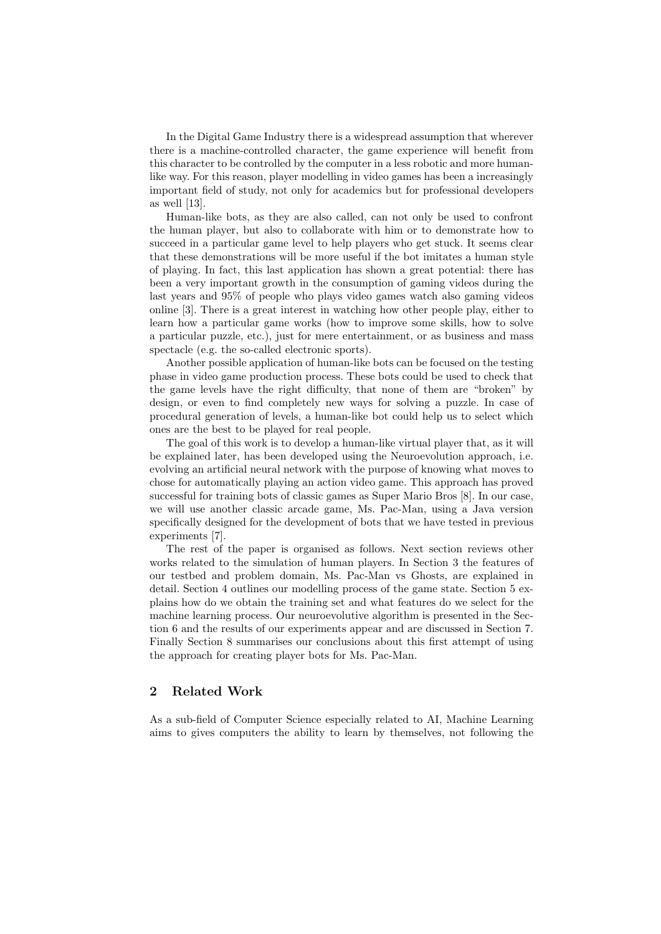In the Digital Game Industry there is a widespread assumption that wherever there is a machine-controlled character, the game experience will benefit from this character to be controlled by the computer in a less robotic and more humanlike way. For this reason, player modelling in video games has been a increasingly important field of study, not only for academics but for professional developers as well [13].

Human-like bots, as they are also called, can not only be used to confront the human player, but also to collaborate with him or to demonstrate how to succeed in a particular game level to help players who get stuck. It seems clear that these demonstrations will be more useful if the bot imitates a human style of playing. In fact, this last application has shown a great potential: there has been a very important growth in the consumption of gaming videos during the last years and 95% of people who plays video games watch also gaming videos online [3]. There is a great interest in watching how other people play, either to learn how a particular game works (how to improve some skills, how to solve a particular puzzle, etc.), just for mere entertainment, or as business and mass spectacle (e.g. the so-called electronic sports).

Another possible application of human-like bots can be focused on the testing phase in video game production process. These bots could be used to check that the game levels have the right difficulty, that none of them are "broken" by design, or even to find completely new ways for solving a puzzle. In case of procedural generation of levels, a human-like bot could help us to select which ones are the best to be played for real people.

The goal of this work is to develop a human-like virtual player that, as it will be explained later, has been developed using the Neuroevolution approach, i.e. evolving an artificial neural network with the purpose of knowing what moves to chose for automatically playing an action video game. This approach has proved successful for training bots of classic games as Super Mario Bros [8]. In our case, we will use another classic arcade game, Ms. Pac-Man, using a Java version specifically designed for the development of bots that we have tested in previous experiments [7].

The rest of the paper is organised as follows. Next section reviews other works related to the simulation of human players. In Section 3 the features of our testbed and problem domain, Ms. Pac-Man vs Ghosts, are explained in detail. Section 4 outlines our modelling process of the game state. Section 5 explains how do we obtain the training set and what features do we select for the machine learning process. Our neuroevolutive algorithm is presented in the Section 6 and the results of our experiments appear and are discussed in Section 7. Finally Section 8 summarises our conclusions about this first attempt of using the approach for creating player bots for Ms. Pac-Man.

## 2 Related Work

As a sub-field of Computer Science especially related to AI, Machine Learning aims to gives computers the ability to learn by themselves, not following the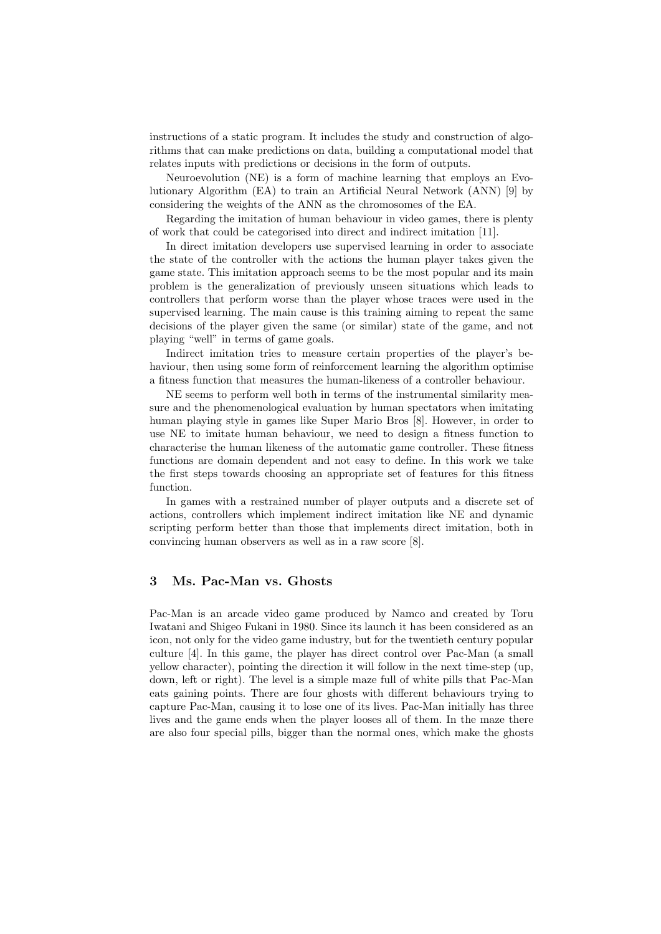instructions of a static program. It includes the study and construction of algorithms that can make predictions on data, building a computational model that relates inputs with predictions or decisions in the form of outputs.

Neuroevolution (NE) is a form of machine learning that employs an Evolutionary Algorithm (EA) to train an Artificial Neural Network (ANN) [9] by considering the weights of the ANN as the chromosomes of the EA.

Regarding the imitation of human behaviour in video games, there is plenty of work that could be categorised into direct and indirect imitation [11].

In direct imitation developers use supervised learning in order to associate the state of the controller with the actions the human player takes given the game state. This imitation approach seems to be the most popular and its main problem is the generalization of previously unseen situations which leads to controllers that perform worse than the player whose traces were used in the supervised learning. The main cause is this training aiming to repeat the same decisions of the player given the same (or similar) state of the game, and not playing "well" in terms of game goals.

Indirect imitation tries to measure certain properties of the player's behaviour, then using some form of reinforcement learning the algorithm optimise a fitness function that measures the human-likeness of a controller behaviour.

NE seems to perform well both in terms of the instrumental similarity measure and the phenomenological evaluation by human spectators when imitating human playing style in games like Super Mario Bros [8]. However, in order to use NE to imitate human behaviour, we need to design a fitness function to characterise the human likeness of the automatic game controller. These fitness functions are domain dependent and not easy to define. In this work we take the first steps towards choosing an appropriate set of features for this fitness function.

In games with a restrained number of player outputs and a discrete set of actions, controllers which implement indirect imitation like NE and dynamic scripting perform better than those that implements direct imitation, both in convincing human observers as well as in a raw score [8].

## 3 Ms. Pac-Man vs. Ghosts

Pac-Man is an arcade video game produced by Namco and created by Toru Iwatani and Shigeo Fukani in 1980. Since its launch it has been considered as an icon, not only for the video game industry, but for the twentieth century popular culture [4]. In this game, the player has direct control over Pac-Man (a small yellow character), pointing the direction it will follow in the next time-step (up, down, left or right). The level is a simple maze full of white pills that Pac-Man eats gaining points. There are four ghosts with different behaviours trying to capture Pac-Man, causing it to lose one of its lives. Pac-Man initially has three lives and the game ends when the player looses all of them. In the maze there are also four special pills, bigger than the normal ones, which make the ghosts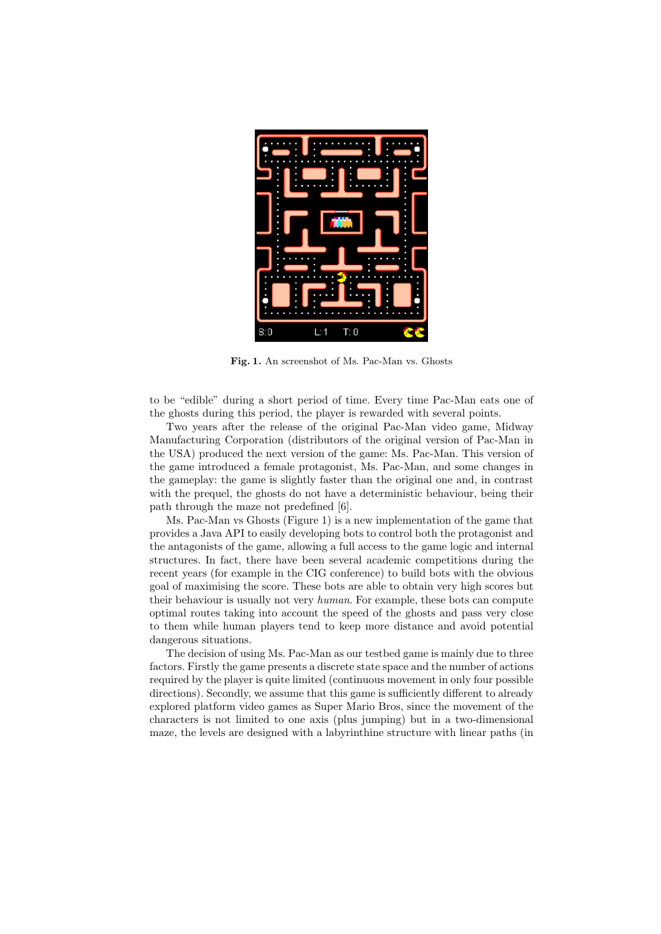

Fig. 1. An screenshot of Ms. Pac-Man vs. Ghosts

to be "edible" during a short period of time. Every time Pac-Man eats one of the ghosts during this period, the player is rewarded with several points.

Two years after the release of the original Pac-Man video game, Midway Manufacturing Corporation (distributors of the original version of Pac-Man in the USA) produced the next version of the game: Ms. Pac-Man. This version of the game introduced a female protagonist, Ms. Pac-Man, and some changes in the gameplay: the game is slightly faster than the original one and, in contrast with the prequel, the ghosts do not have a deterministic behaviour, being their path through the maze not predefined [6].

Ms. Pac-Man vs Ghosts (Figure 1) is a new implementation of the game that provides a Java API to easily developing bots to control both the protagonist and the antagonists of the game, allowing a full access to the game logic and internal structures. In fact, there have been several academic competitions during the recent years (for example in the CIG conference) to build bots with the obvious goal of maximising the score. These bots are able to obtain very high scores but their behaviour is usually not very human. For example, these bots can compute optimal routes taking into account the speed of the ghosts and pass very close to them while human players tend to keep more distance and avoid potential dangerous situations.

The decision of using Ms. Pac-Man as our testbed game is mainly due to three factors. Firstly the game presents a discrete state space and the number of actions required by the player is quite limited (continuous movement in only four possible directions). Secondly, we assume that this game is sufficiently different to already explored platform video games as Super Mario Bros, since the movement of the characters is not limited to one axis (plus jumping) but in a two-dimensional maze, the levels are designed with a labyrinthine structure with linear paths (in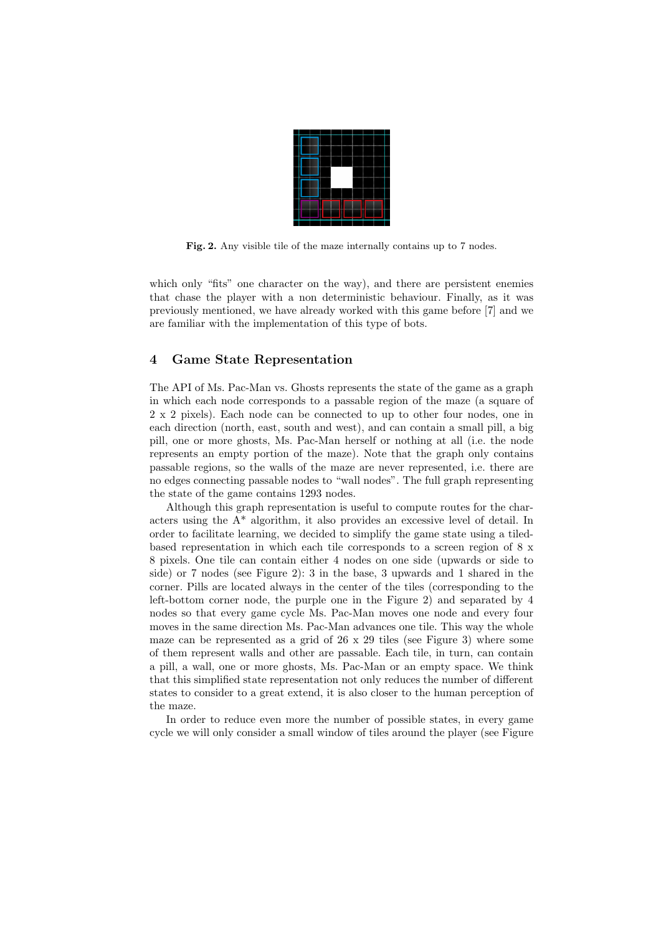

Fig. 2. Any visible tile of the maze internally contains up to 7 nodes.

which only "fits" one character on the way), and there are persistent enemies that chase the player with a non deterministic behaviour. Finally, as it was previously mentioned, we have already worked with this game before [7] and we are familiar with the implementation of this type of bots.

# 4 Game State Representation

The API of Ms. Pac-Man vs. Ghosts represents the state of the game as a graph in which each node corresponds to a passable region of the maze (a square of 2 x 2 pixels). Each node can be connected to up to other four nodes, one in each direction (north, east, south and west), and can contain a small pill, a big pill, one or more ghosts, Ms. Pac-Man herself or nothing at all (i.e. the node represents an empty portion of the maze). Note that the graph only contains passable regions, so the walls of the maze are never represented, i.e. there are no edges connecting passable nodes to "wall nodes". The full graph representing the state of the game contains 1293 nodes.

Although this graph representation is useful to compute routes for the characters using the A\* algorithm, it also provides an excessive level of detail. In order to facilitate learning, we decided to simplify the game state using a tiledbased representation in which each tile corresponds to a screen region of 8 x 8 pixels. One tile can contain either 4 nodes on one side (upwards or side to side) or 7 nodes (see Figure 2): 3 in the base, 3 upwards and 1 shared in the corner. Pills are located always in the center of the tiles (corresponding to the left-bottom corner node, the purple one in the Figure 2) and separated by 4 nodes so that every game cycle Ms. Pac-Man moves one node and every four moves in the same direction Ms. Pac-Man advances one tile. This way the whole maze can be represented as a grid of  $26 \times 29$  tiles (see Figure 3) where some of them represent walls and other are passable. Each tile, in turn, can contain a pill, a wall, one or more ghosts, Ms. Pac-Man or an empty space. We think that this simplified state representation not only reduces the number of different states to consider to a great extend, it is also closer to the human perception of the maze.

In order to reduce even more the number of possible states, in every game cycle we will only consider a small window of tiles around the player (see Figure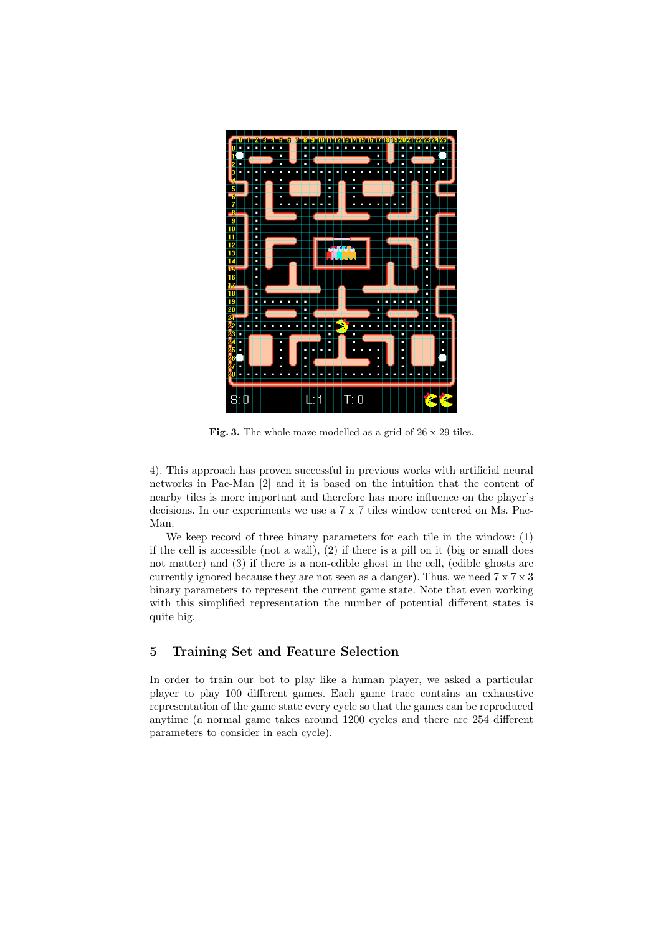

Fig. 3. The whole maze modelled as a grid of 26 x 29 tiles.

4). This approach has proven successful in previous works with artificial neural networks in Pac-Man [2] and it is based on the intuition that the content of nearby tiles is more important and therefore has more influence on the player's decisions. In our experiments we use a 7 x 7 tiles window centered on Ms. Pac-Man.

We keep record of three binary parameters for each tile in the window: (1) if the cell is accessible (not a wall), (2) if there is a pill on it (big or small does not matter) and (3) if there is a non-edible ghost in the cell, (edible ghosts are currently ignored because they are not seen as a danger). Thus, we need 7 x 7 x 3 binary parameters to represent the current game state. Note that even working with this simplified representation the number of potential different states is quite big.

# 5 Training Set and Feature Selection

In order to train our bot to play like a human player, we asked a particular player to play 100 different games. Each game trace contains an exhaustive representation of the game state every cycle so that the games can be reproduced anytime (a normal game takes around 1200 cycles and there are 254 different parameters to consider in each cycle).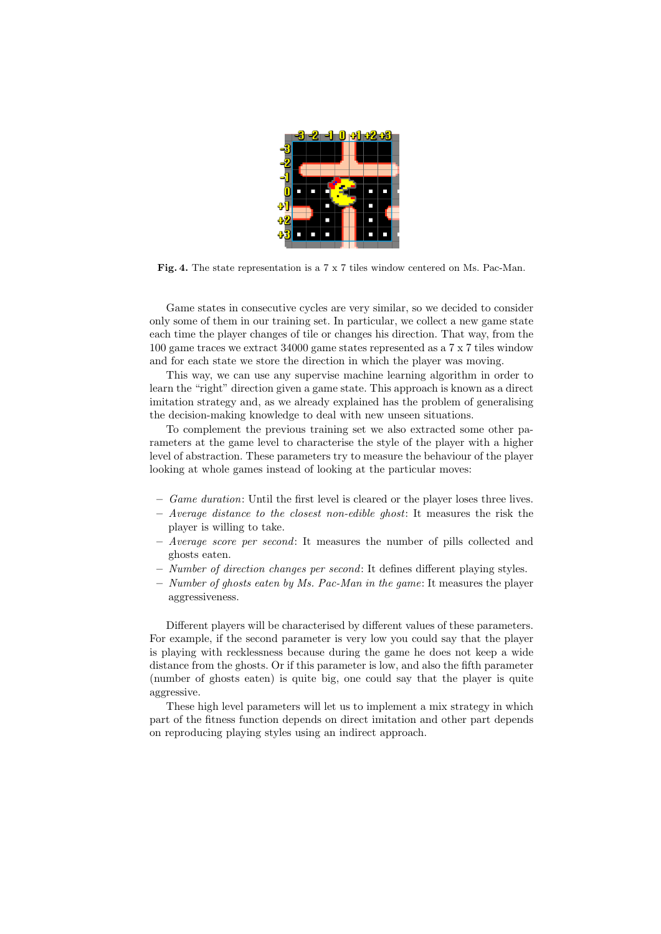

Fig. 4. The state representation is a 7 x 7 tiles window centered on Ms. Pac-Man.

Game states in consecutive cycles are very similar, so we decided to consider only some of them in our training set. In particular, we collect a new game state each time the player changes of tile or changes his direction. That way, from the 100 game traces we extract 34000 game states represented as a 7 x 7 tiles window and for each state we store the direction in which the player was moving.

This way, we can use any supervise machine learning algorithm in order to learn the "right" direction given a game state. This approach is known as a direct imitation strategy and, as we already explained has the problem of generalising the decision-making knowledge to deal with new unseen situations.

To complement the previous training set we also extracted some other parameters at the game level to characterise the style of the player with a higher level of abstraction. These parameters try to measure the behaviour of the player looking at whole games instead of looking at the particular moves:

- Game duration: Until the first level is cleared or the player loses three lives.
- Average distance to the closest non-edible ghost: It measures the risk the player is willing to take.
- Average score per second: It measures the number of pills collected and ghosts eaten.
- Number of direction changes per second: It defines different playing styles.
- $-$  Number of ghosts eaten by Ms. Pac-Man in the game: It measures the player aggressiveness.

Different players will be characterised by different values of these parameters. For example, if the second parameter is very low you could say that the player is playing with recklessness because during the game he does not keep a wide distance from the ghosts. Or if this parameter is low, and also the fifth parameter (number of ghosts eaten) is quite big, one could say that the player is quite aggressive.

These high level parameters will let us to implement a mix strategy in which part of the fitness function depends on direct imitation and other part depends on reproducing playing styles using an indirect approach.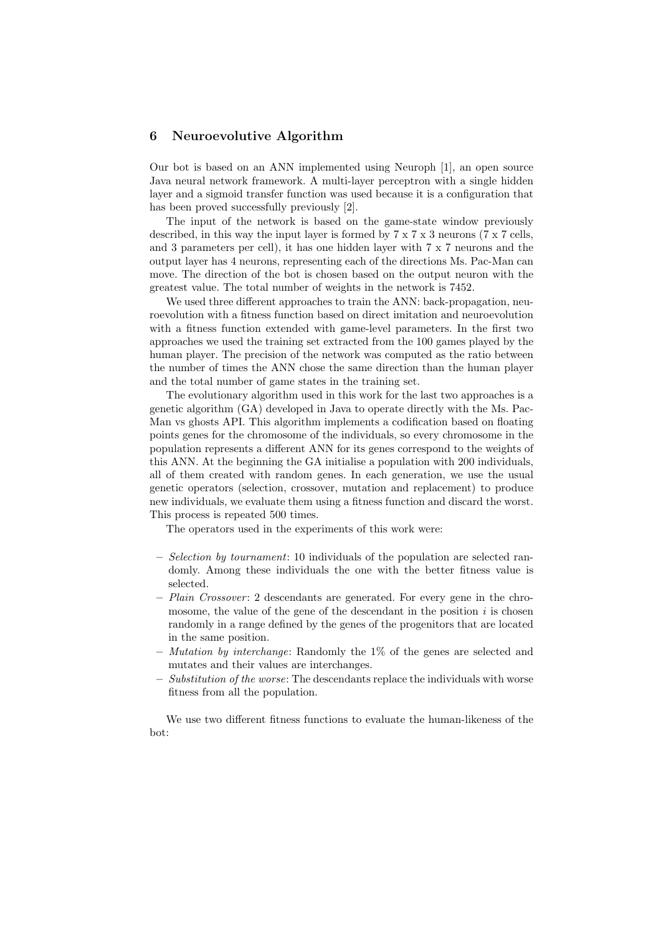#### 6 Neuroevolutive Algorithm

Our bot is based on an ANN implemented using Neuroph [1], an open source Java neural network framework. A multi-layer perceptron with a single hidden layer and a sigmoid transfer function was used because it is a configuration that has been proved successfully previously [2].

The input of the network is based on the game-state window previously described, in this way the input layer is formed by 7 x 7 x 3 neurons (7 x 7 cells, and 3 parameters per cell), it has one hidden layer with 7 x 7 neurons and the output layer has 4 neurons, representing each of the directions Ms. Pac-Man can move. The direction of the bot is chosen based on the output neuron with the greatest value. The total number of weights in the network is 7452.

We used three different approaches to train the ANN: back-propagation, neuroevolution with a fitness function based on direct imitation and neuroevolution with a fitness function extended with game-level parameters. In the first two approaches we used the training set extracted from the 100 games played by the human player. The precision of the network was computed as the ratio between the number of times the ANN chose the same direction than the human player and the total number of game states in the training set.

The evolutionary algorithm used in this work for the last two approaches is a genetic algorithm (GA) developed in Java to operate directly with the Ms. Pac-Man vs ghosts API. This algorithm implements a codification based on floating points genes for the chromosome of the individuals, so every chromosome in the population represents a different ANN for its genes correspond to the weights of this ANN. At the beginning the GA initialise a population with 200 individuals, all of them created with random genes. In each generation, we use the usual genetic operators (selection, crossover, mutation and replacement) to produce new individuals, we evaluate them using a fitness function and discard the worst. This process is repeated 500 times.

The operators used in the experiments of this work were:

- $-$  Selection by tournament: 10 individuals of the population are selected randomly. Among these individuals the one with the better fitness value is selected.
- $-$  Plain Crossover: 2 descendants are generated. For every gene in the chromosome, the value of the gene of the descendant in the position  $i$  is chosen randomly in a range defined by the genes of the progenitors that are located in the same position.
- $-$  *Mutation by interchange*: Randomly the  $1\%$  of the genes are selected and mutates and their values are interchanges.
- $-$  Substitution of the worse: The descendants replace the individuals with worse fitness from all the population.

We use two different fitness functions to evaluate the human-likeness of the bot: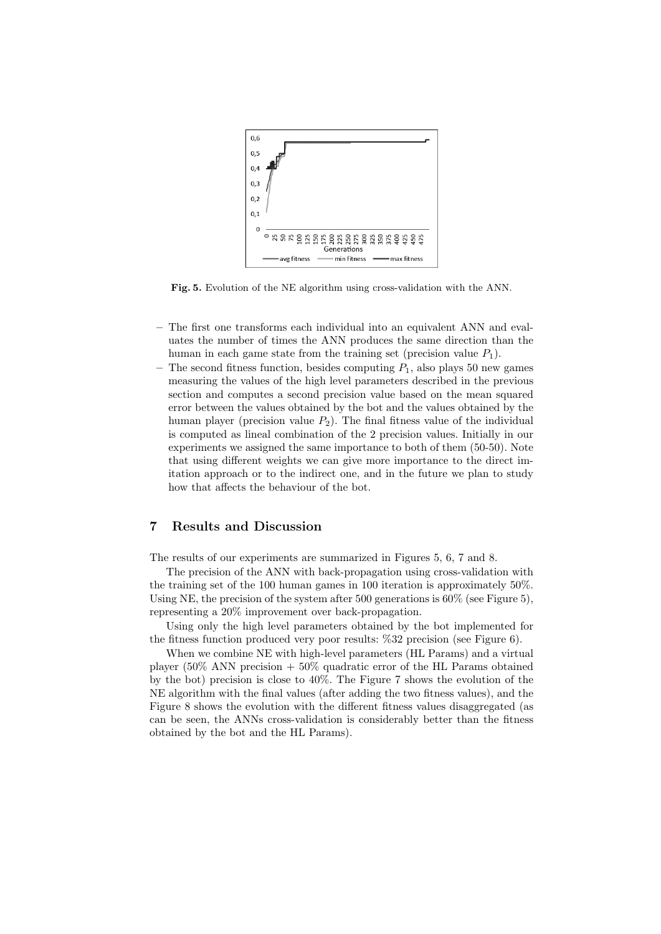

Fig. 5. Evolution of the NE algorithm using cross-validation with the ANN.

- The first one transforms each individual into an equivalent ANN and evaluates the number of times the ANN produces the same direction than the human in each game state from the training set (precision value  $P_1$ ).
- The second fitness function, besides computing  $P_1$ , also plays 50 new games measuring the values of the high level parameters described in the previous section and computes a second precision value based on the mean squared error between the values obtained by the bot and the values obtained by the human player (precision value  $P_2$ ). The final fitness value of the individual is computed as lineal combination of the 2 precision values. Initially in our experiments we assigned the same importance to both of them (50-50). Note that using different weights we can give more importance to the direct imitation approach or to the indirect one, and in the future we plan to study how that affects the behaviour of the bot.

#### 7 Results and Discussion

The results of our experiments are summarized in Figures 5, 6, 7 and 8.

The precision of the ANN with back-propagation using cross-validation with the training set of the 100 human games in 100 iteration is approximately 50%. Using NE, the precision of the system after 500 generations is 60% (see Figure 5), representing a 20% improvement over back-propagation.

Using only the high level parameters obtained by the bot implemented for the fitness function produced very poor results: %32 precision (see Figure 6).

When we combine NE with high-level parameters (HL Params) and a virtual player (50% ANN precision  $+$  50% quadratic error of the HL Params obtained by the bot) precision is close to 40%. The Figure 7 shows the evolution of the NE algorithm with the final values (after adding the two fitness values), and the Figure 8 shows the evolution with the different fitness values disaggregated (as can be seen, the ANNs cross-validation is considerably better than the fitness obtained by the bot and the HL Params).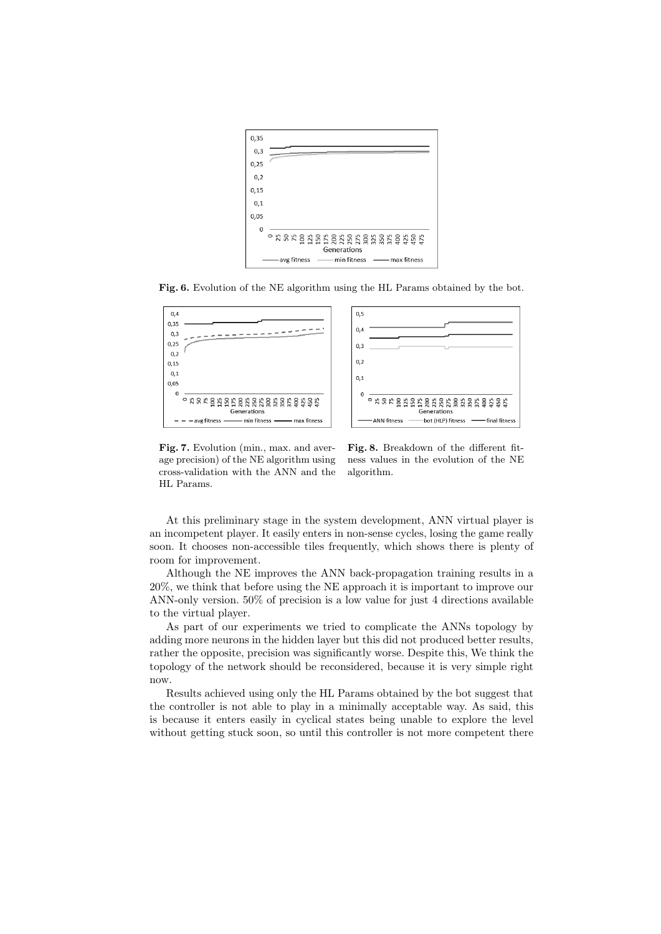

Fig. 6. Evolution of the NE algorithm using the HL Params obtained by the bot.





Fig. 7. Evolution (min., max. and average precision) of the NE algorithm using cross-validation with the ANN and the HL Params.

Fig. 8. Breakdown of the different fitness values in the evolution of the NE algorithm.

At this preliminary stage in the system development, ANN virtual player is an incompetent player. It easily enters in non-sense cycles, losing the game really soon. It chooses non-accessible tiles frequently, which shows there is plenty of room for improvement.

Although the NE improves the ANN back-propagation training results in a 20%, we think that before using the NE approach it is important to improve our ANN-only version. 50% of precision is a low value for just 4 directions available to the virtual player.

As part of our experiments we tried to complicate the ANNs topology by adding more neurons in the hidden layer but this did not produced better results, rather the opposite, precision was significantly worse. Despite this, We think the topology of the network should be reconsidered, because it is very simple right now.

Results achieved using only the HL Params obtained by the bot suggest that the controller is not able to play in a minimally acceptable way. As said, this is because it enters easily in cyclical states being unable to explore the level without getting stuck soon, so until this controller is not more competent there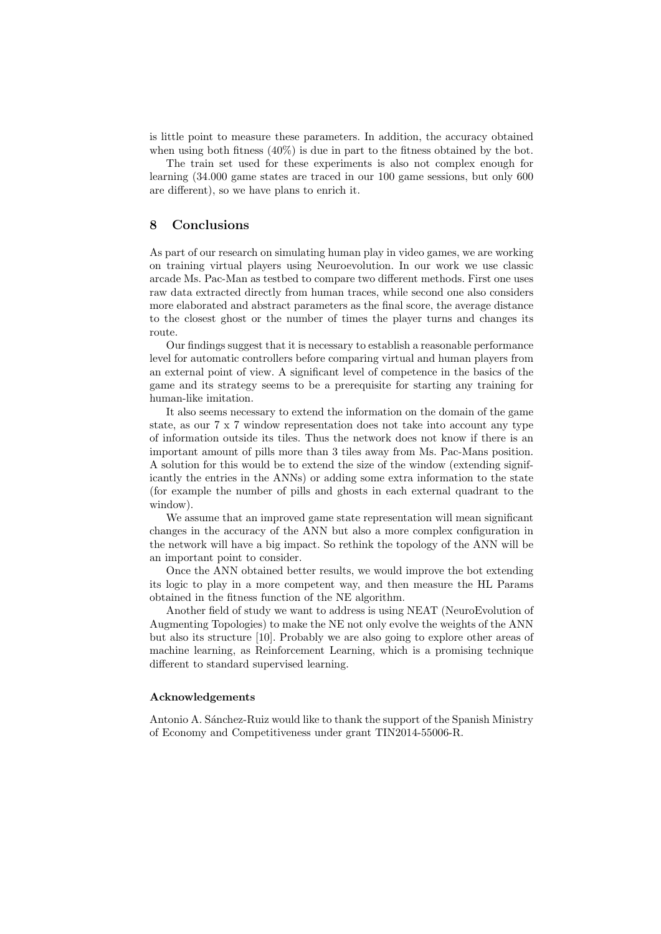is little point to measure these parameters. In addition, the accuracy obtained when using both fitness  $(40\%)$  is due in part to the fitness obtained by the bot.

The train set used for these experiments is also not complex enough for learning (34.000 game states are traced in our 100 game sessions, but only 600 are different), so we have plans to enrich it.

# 8 Conclusions

As part of our research on simulating human play in video games, we are working on training virtual players using Neuroevolution. In our work we use classic arcade Ms. Pac-Man as testbed to compare two different methods. First one uses raw data extracted directly from human traces, while second one also considers more elaborated and abstract parameters as the final score, the average distance to the closest ghost or the number of times the player turns and changes its route.

Our findings suggest that it is necessary to establish a reasonable performance level for automatic controllers before comparing virtual and human players from an external point of view. A significant level of competence in the basics of the game and its strategy seems to be a prerequisite for starting any training for human-like imitation.

It also seems necessary to extend the information on the domain of the game state, as our 7 x 7 window representation does not take into account any type of information outside its tiles. Thus the network does not know if there is an important amount of pills more than 3 tiles away from Ms. Pac-Mans position. A solution for this would be to extend the size of the window (extending significantly the entries in the ANNs) or adding some extra information to the state (for example the number of pills and ghosts in each external quadrant to the window).

We assume that an improved game state representation will mean significant changes in the accuracy of the ANN but also a more complex configuration in the network will have a big impact. So rethink the topology of the ANN will be an important point to consider.

Once the ANN obtained better results, we would improve the bot extending its logic to play in a more competent way, and then measure the HL Params obtained in the fitness function of the NE algorithm.

Another field of study we want to address is using NEAT (NeuroEvolution of Augmenting Topologies) to make the NE not only evolve the weights of the ANN but also its structure [10]. Probably we are also going to explore other areas of machine learning, as Reinforcement Learning, which is a promising technique different to standard supervised learning.

#### Acknowledgements

Antonio A. Sánchez-Ruiz would like to thank the support of the Spanish Ministry of Economy and Competitiveness under grant TIN2014-55006-R.